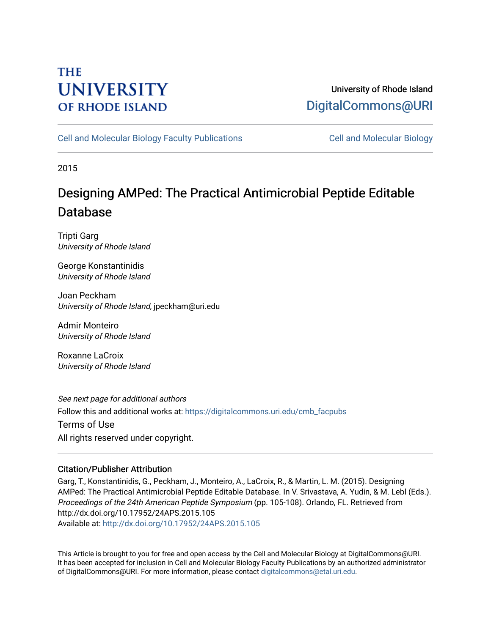## **THE UNIVERSITY OF RHODE ISLAND**

## University of Rhode Island [DigitalCommons@URI](https://digitalcommons.uri.edu/)

[Cell and Molecular Biology Faculty Publications](https://digitalcommons.uri.edu/cmb_facpubs) [Cell and Molecular Biology](https://digitalcommons.uri.edu/cmb) 

2015

# Designing AMP ed: The Practical Antimicrobial P eptide Editable Database

Tripti Garg University of Rhode Island

George Konstantinidis University of Rhode Island

Joan Peckham University of Rhode Island, jpeckham@uri.edu

Admir Monteiro University of Rhode Island

Roxanne LaCroix University of Rhode Island

See next page for additional authors Follow this and additional works at: [https://digitalcommons.uri.edu/cmb\\_facpubs](https://digitalcommons.uri.edu/cmb_facpubs?utm_source=digitalcommons.uri.edu%2Fcmb_facpubs%2F109&utm_medium=PDF&utm_campaign=PDFCoverPages)  Terms of Use All rights reserved under copyright.

### Citation/Publisher Attribution

Garg, T., Konstantinidis, G., Peckham, J., Monteiro, A., LaCroix, R., & Martin, L. M. (2015). Designing AMPed: The Practical Antimicrobial Peptide Editable Database. In V. Srivastava, A. Yudin, & M. Lebl (Eds.). Proceedings of the 24th American Peptide Symposium (pp. 105-108). Orlando, FL. Retrieved from http://dx.doi.org/10.17952/24APS.2015.105 Available at:<http://dx.doi.org/10.17952/24APS.2015.105>

This Article is brought to you for free and open access by the Cell and Molecular Biology at DigitalCommons@URI. It has been accepted for inclusion in Cell and Molecular Biology Faculty Publications by an authorized administrator of DigitalCommons@URI. For more information, please contact [digitalcommons@etal.uri.edu](mailto:digitalcommons@etal.uri.edu).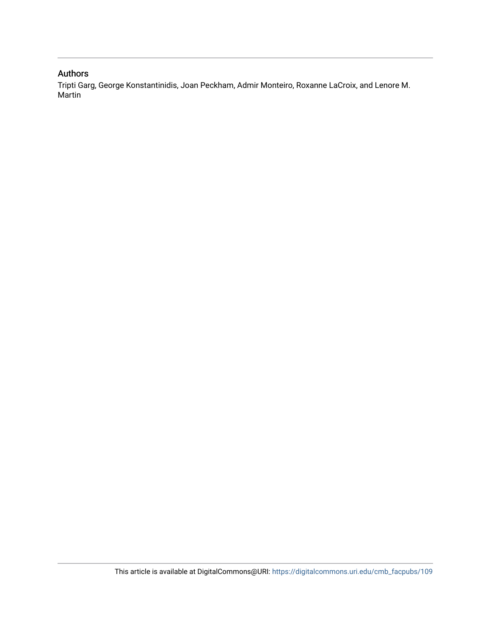## Authors

Tripti Garg, George Konstantinidis, Joan Peckham, Admir Monteiro, Roxanne LaCroix, and Lenore M. Martin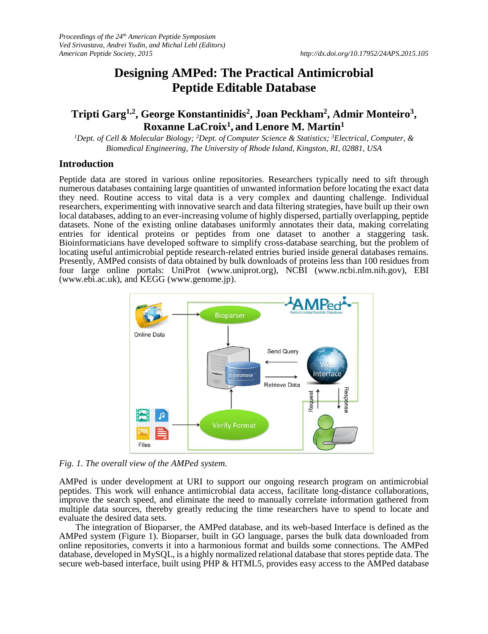## **Designing AMPed: The Practical Antimicrobial Peptide Editable Database**

### **Tripti Garg1,2 , George Konstantinidis<sup>2</sup> , Joan Peckham<sup>2</sup> , Admir Monteiro<sup>3</sup> , Roxanne LaCroix<sup>1</sup> , and Lenore M. Martin<sup>1</sup>**

*<sup>1</sup>Dept. of Cell & Molecular Biology; <sup>2</sup>Dept. of Computer Science & Statistics; <sup>3</sup>Electrical, Computer, & Biomedical Engineering, The University of Rhode Island, Kingston, RI, 02881, USA*

#### **Introduction**

Peptide data are stored in various online repositories. Researchers typically need to sift through numerous databases containing large quantities of unwanted information before locating the exact data they need. Routine access to vital data is a very complex and daunting challenge. Individual researchers, experimenting with innovative search and data filtering strategies, have built up their own local databases, adding to an ever-increasing volume of highly dispersed, partially overlapping, peptide datasets. None of the existing online databases uniformly annotates their data, making correlating entries for identical proteins or peptides from one dataset to another a staggering task. Bioinformaticians have developed software to simplify cross-database searching, but the problem of locating useful antimicrobial peptide research-related entries buried inside general databases remains. Presently, AMPed consists of data obtained by bulk downloads of proteins less than 100 residues from four large online portals: UniProt (www.uniprot.org), NCBI (www.ncbi.nlm.nih.gov), EBI (www.ebi.ac.uk), and KEGG (www.genome.jp).



*Fig. 1. The overall view of the AMPed system.*

AMPed is under development at URI to support our ongoing research program on antimicrobial peptides. This work will enhance antimicrobial data access, facilitate long-distance collaborations, improve the search speed, and eliminate the need to manually correlate information gathered from multiple data sources, thereby greatly reducing the time researchers have to spend to locate and evaluate the desired data sets.

The integration of Bioparser, the AMPed database, and its web-based Interface is defined as the AMPed system (Figure 1). Bioparser, built in GO language, parses the bulk data downloaded from online repositories, converts it into a harmonious format and builds some connections. The AMPed database, developed in MySQL, is a highly normalized relational database that stores peptide data. The secure web-based interface, built using PHP & HTML5, provides easy access to the AMPed database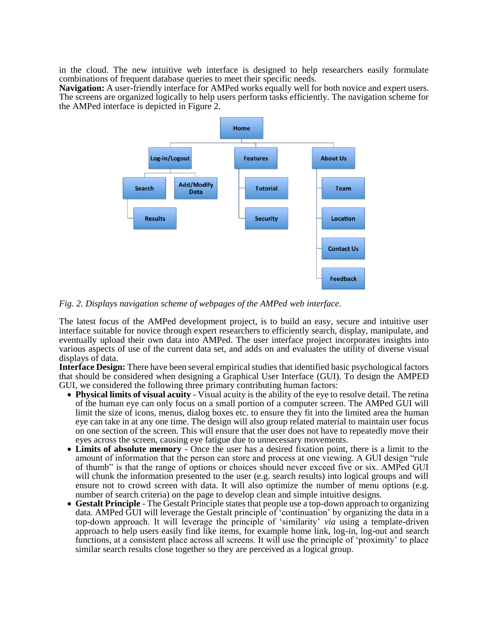in the cloud. The new intuitive web interface is designed to help researchers easily formulate combinations of frequent database queries to meet their specific needs.

**Navigation:** A user-friendly interface for AMPed works equally well for both novice and expert users. The screens are organized logically to help users perform tasks efficiently. The navigation scheme for the AMPed interface is depicted in Figure 2.



*Fig. 2. Displays navigation scheme of webpages of the AMPed web interface.* 

The latest focus of the AMPed development project, is to build an easy, secure and intuitive user interface suitable for novice through expert researchers to efficiently search, display, manipulate, and eventually upload their own data into AMPed. The user interface project incorporates insights into various aspects of use of the current data set, and adds on and evaluates the utility of diverse visual displays of data.

**Interface Design:** There have been several empirical studies that identified basic psychological factors that should be considered when designing a Graphical User Interface (GUI). To design the AMPED GUI, we considered the following three primary contributing human factors:

- **Physical limits of visual acuity** Visual acuity is the ability of the eye to resolve detail. The retina of the human eye can only focus on a small portion of a computer screen. The AMPed GUI will limit the size of icons, menus, dialog boxes etc. to ensure they fit into the limited area the human eye can take in at any one time. The design will also group related material to maintain user focus on one section of the screen. This will ensure that the user does not have to repeatedly move their eyes across the screen, causing eye fatigue due to unnecessary movements.
- **Limits of absolute memory** Once the user has a desired fixation point, there is a limit to the amount of information that the person can store and process at one viewing. A GUI design "rule of thumb" is that the range of options or choices should never exceed five or six. AMPed GUI will chunk the information presented to the user (e.g. search results) into logical groups and will ensure not to crowd screen with data. It will also optimize the number of menu options (e.g. number of search criteria) on the page to develop clean and simple intuitive designs.
- **Gestalt Principle** The Gestalt Principle states that people use a top-down approach to organizing data. AMPed GUI will leverage the Gestalt principle of 'continuation' by organizing the data in a top-down approach. It will leverage the principle of 'similarity' *via* using a template-driven approach to help users easily find like items, for example home link, log-in, log-out and search functions, at a consistent place across all screens. It will use the principle of 'proximity' to place similar search results close together so they are perceived as a logical group.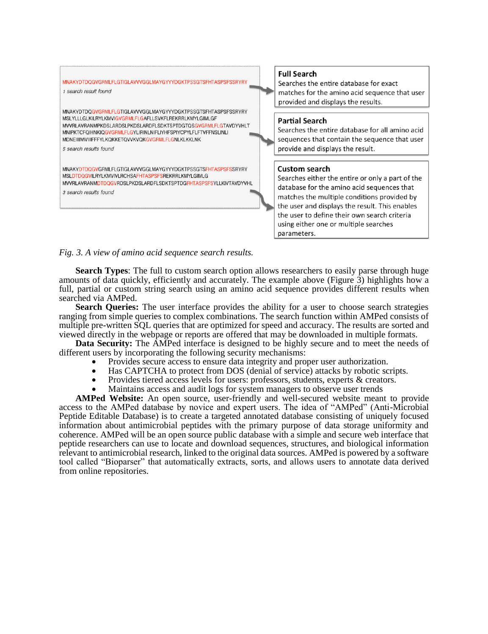

#### **Full Search**

Searches the entire database for exact matches for the amino acid sequence that user provided and displays the results.

#### **Partial Search**

Searches the entire database for all amino acid sequences that contain the sequence that user provide and displays the result.

#### **Custom search**

Searches either the entire or only a part of the database for the amino acid sequences that matches the multiple conditions provided by the user and displays the result. This enables the user to define their own search criteria using either one or multiple searches parameters.

*Fig. 3. A view of amino acid sequence search results.*

**Search Types**: The full to custom search option allows researchers to easily parse through huge amounts of data quickly, efficiently and accurately. The example above (Figure 3) highlights how a full, partial or custom string search using an amino acid sequence provides different results when searched via AMPed.

**Search Queries:** The user interface provides the ability for a user to choose search strategies ranging from simple queries to complex combinations. The search function within AMPed consists of multiple pre-written SQL queries that are optimized for speed and accuracy. The results are sorted and viewed directly in the webpage or reports are offered that may be downloaded in multiple formats.

**Data Security:** The AMPed interface is designed to be highly secure and to meet the needs of different users by incorporating the following security mechanisms:

- Provides secure access to ensure data integrity and proper user authorization.
- Has CAPTCHA to protect from DOS (denial of service) attacks by robotic scripts.
- Provides tiered access levels for users: professors, students, experts & creators.
- Maintains access and audit logs for system managers to observe user trends

**AMPed Website:** An open source, user-friendly and well-secured website meant to provide access to the AMPed database by novice and expert users. The idea of "AMPed" (Anti-Microbial Peptide Editable Database) is to create a targeted annotated database consisting of uniquely focused information about antimicrobial peptides with the primary purpose of data storage uniformity and coherence. AMPed will be an open source public database with a simple and secure web interface that peptide researchers can use to locate and download sequences, structures, and biological information relevant to antimicrobial research, linked to the original data sources. AMPed is powered by a software tool called "Bioparser" that automatically extracts, sorts, and allows users to annotate data derived from online repositories.